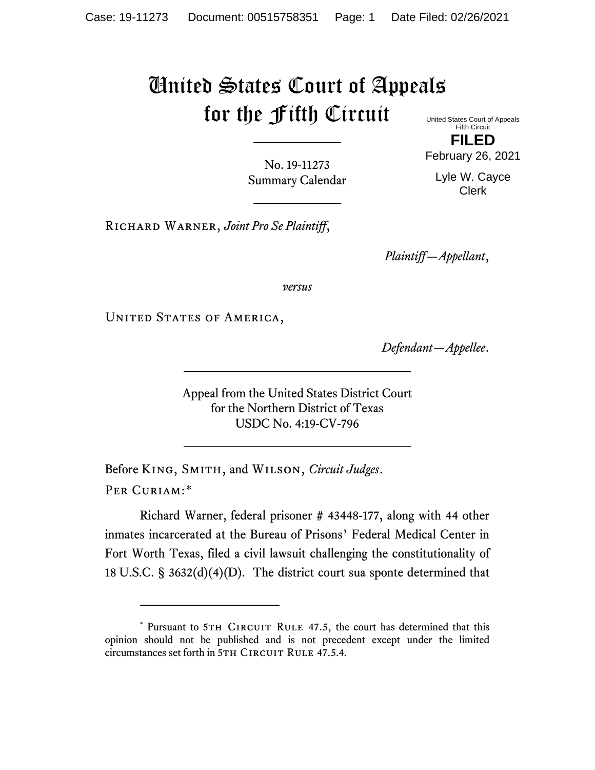## United States Court of Appeals for the Fifth Circuit

United States Court of Appeals Fifth Circuit **FILED**

No. 19-11273 Summary Calendar February 26, 2021 Lyle W. Cayce

Clerk

Richard Warner, *Joint Pro Se Plaintiff*,

*Plaintiff—Appellant*,

*versus*

UNITED STATES OF AMERICA,

*Defendant—Appellee*.

Appeal from the United States District Court for the Northern District of Texas USDC No. 4:19-CV-796

Before King, Smith, and Wilson, *Circuit Judges*. Per Curiam:[\\*](#page-0-0)

Richard Warner, federal prisoner # 43448-177, along with 44 other inmates incarcerated at the Bureau of Prisons' Federal Medical Center in Fort Worth Texas, filed a civil lawsuit challenging the constitutionality of 18 U.S.C. § 3632(d)(4)(D). The district court sua sponte determined that

<span id="page-0-0"></span><sup>\*</sup> Pursuant to 5TH CIRCUIT RULE 47.5, the court has determined that this opinion should not be published and is not precedent except under the limited circumstances set forth in 5TH CIRCUIT RULE 47.5.4.